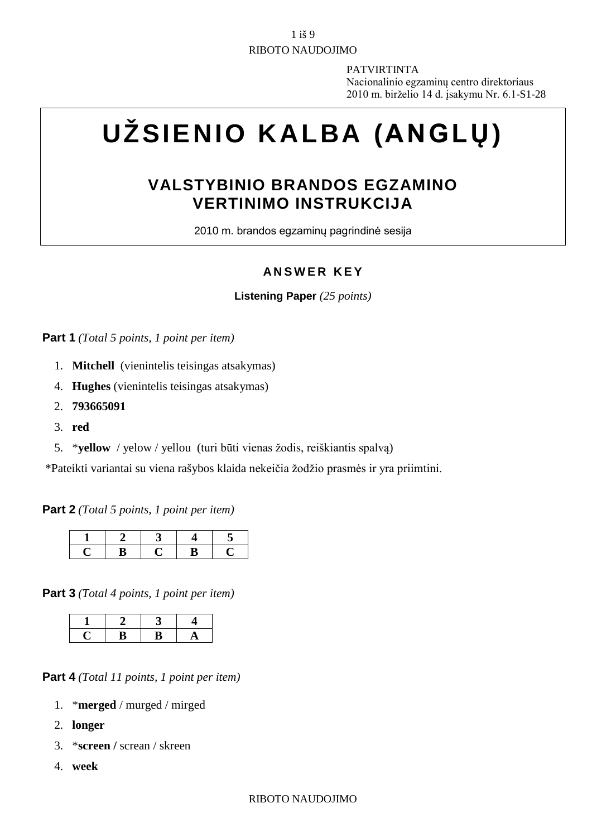PATVIRTINTA

Nacionalinio egzaminų centro direktoriaus 2010 m. birželio 14 d. įsakymu Nr. 6.1-S1-28

# **UŽSIENIO KALBA (ANGLŲ)**

# **VALSTYBINIO BRANDOS EGZAMINO VERTINIMO INSTRUKCIJA**

2010 m. brandos egzaminų pagrindinė sesija

# **ANSWER KEY**

# **Listening Paper** *(25 points)*

**Part 1** *(Total 5 points, 1 point per item)*

- 1. **Mitchell** (vienintelis teisingas atsakymas)
- 4. **Hughes** (vienintelis teisingas atsakymas)
- 2. **793665091**
- 3. **red**
- 5. \***yellow** / yelow / yellou (turi būti vienas žodis, reiškiantis spalvą)

\*Pateikti variantai su viena rašybos klaida nekeičia žodžio prasmės ir yra priimtini.

**Part 2** *(Total 5 points, 1 point per item)*

**Part 3** *(Total 4 points, 1 point per item)*

**Part 4** *(Total 11 points, 1 point per item)*

- 1. \***merged** / murged / mirged
- 2. **longer**
- 3. \***screen /** screan / skreen
- 4. **week**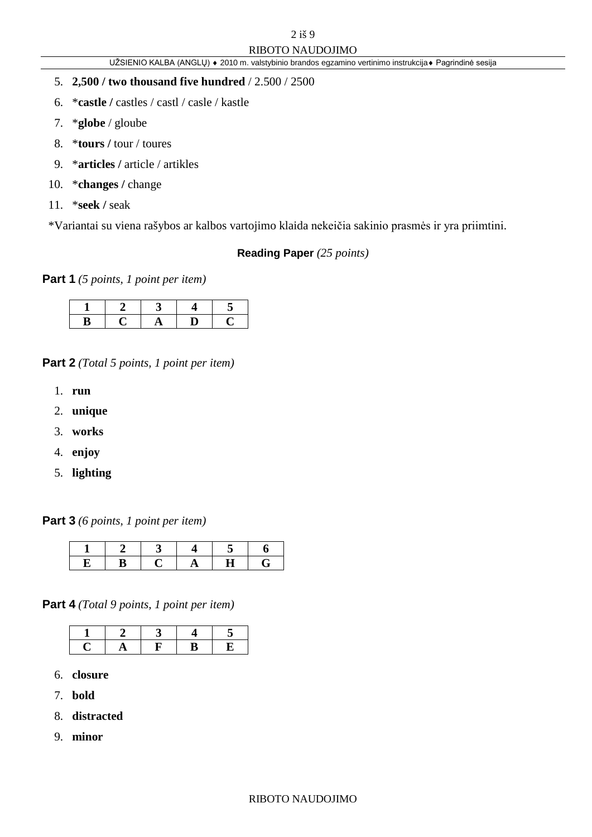UŽSIENIO KALBA (ANGLŲ) ♦ 2010 m. valstybinio brandos egzamino vertinimo instrukcija♦ Pagrindinė sesija

- 5. **2,500 / two thousand five hundred** / 2.500 / 2500
- 6. \***castle /** castles / castl / casle / kastle
- 7. \***globe** / gloube
- 8. \***tours /** tour / toures
- 9. \***articles /** article / artikles
- 10. \***changes /** change
- 11. \***seek /** seak

\*Variantai su viena rašybos ar kalbos vartojimo klaida nekeičia sakinio prasmės ir yra priimtini.

**Reading Paper** *(25 points)*

**Part 1** *(5 points, 1 point per item)*

**Part 2** *(Total 5 points, 1 point per item)*

- 1. **run**
- 2. **unique**
- 3. **works**
- 4. **enjoy**
- 5. **lighting**

**Part 3** *(6 points, 1 point per item)*

**Part 4** *(Total 9 points, 1 point per item)*

- 6. **closure**
- 7. **bold**
- 8. **distracted**
- 9. **minor**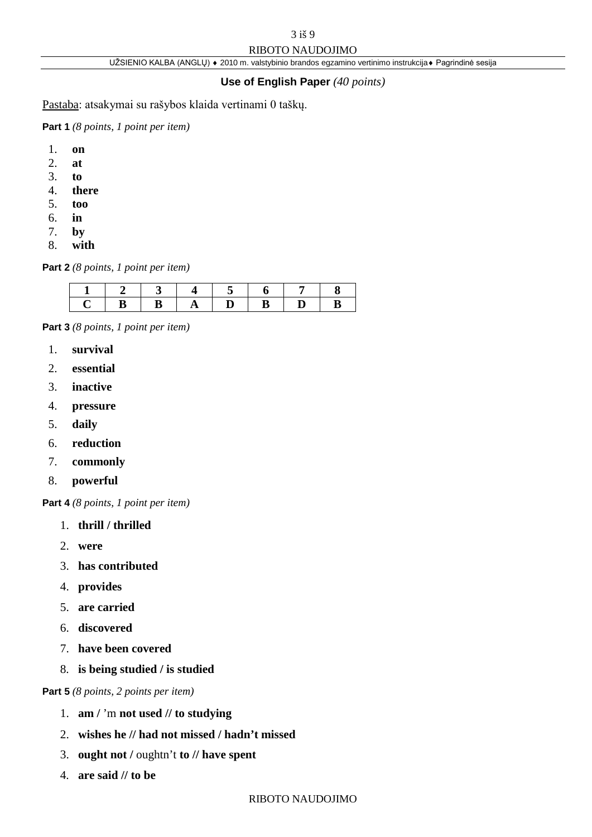UŽSIENIO KALBA (ANGLŲ) ♦ 2010 m. valstybinio brandos egzamino vertinimo instrukcija♦ Pagrindinė sesija

# **Use of English Paper** *(40 points)*

Pastaba: atsakymai su rašybos klaida vertinami 0 taškų.

**Part 1** *(8 points, 1 point per item)*

- 1. **on**
- 2. **at**
- 3. **to**
- 4. **there**
- 5. **too**
- 6. **in**
- 7. **by**
- 8. **with**

**Part 2** *(8 points, 1 point per item)*

**Part 3** *(8 points, 1 point per item)*

- 1. **survival**
- 2. **essential**
- 3. **inactive**
- 4. **pressure**
- 5. **daily**
- 6. **reduction**
- 7. **commonly**
- 8. **powerful**

**Part 4** *(8 points, 1 point per item)*

- 1. **thrill / thrilled**
- 2. **were**
- 3. **has contributed**
- 4. **provides**
- 5. **are carried**
- 6. **discovered**
- 7. **have been covered**
- 8. **is being studied / is studied**

**Part 5** *(8 points, 2 points per item)*

- 1. **am /** 'm **not used // to studying**
- 2. **wishes he // had not missed / hadn't missed**
- 3. **ought not /** oughtn't **to // have spent**
- 4. **are said // to be**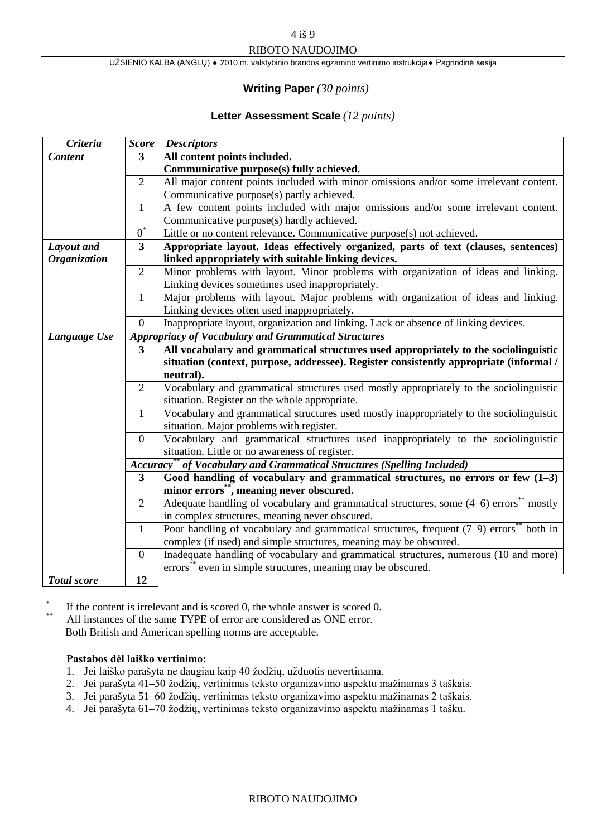#### UŽSIENIO KALBA (ANGLŲ) ♦ 2010 m. valstybinio brandos egzamino vertinimo instrukcija♦ Pagrindinė sesija

#### **Writing Paper** *(30 points)*

#### **Letter Assessment Scale** *(12 points)*

| Criteria            | <b>Score</b>            | <b>Descriptors</b>                                                                                    |  |  |  |
|---------------------|-------------------------|-------------------------------------------------------------------------------------------------------|--|--|--|
| <b>Content</b>      | 3                       | All content points included.                                                                          |  |  |  |
|                     |                         | Communicative purpose(s) fully achieved.                                                              |  |  |  |
|                     | $\overline{2}$          | All major content points included with minor omissions and/or some irrelevant content.                |  |  |  |
|                     |                         | Communicative purpose(s) partly achieved.                                                             |  |  |  |
|                     | $\mathbf{1}$            | A few content points included with major omissions and/or some irrelevant content.                    |  |  |  |
|                     |                         | Communicative purpose(s) hardly achieved.                                                             |  |  |  |
|                     | $0^{\degree}$           | Little or no content relevance. Communicative purpose(s) not achieved.                                |  |  |  |
| Layout and          | $\overline{\mathbf{3}}$ | Appropriate layout. Ideas effectively organized, parts of text (clauses, sentences)                   |  |  |  |
| <b>Organization</b> |                         | linked appropriately with suitable linking devices.                                                   |  |  |  |
|                     | $\overline{2}$          | Minor problems with layout. Minor problems with organization of ideas and linking.                    |  |  |  |
|                     |                         | Linking devices sometimes used inappropriately.                                                       |  |  |  |
|                     | $\mathbf{1}$            | Major problems with layout. Major problems with organization of ideas and linking.                    |  |  |  |
|                     |                         | Linking devices often used inappropriately.                                                           |  |  |  |
|                     | $\boldsymbol{0}$        | Inappropriate layout, organization and linking. Lack or absence of linking devices.                   |  |  |  |
| Language Use        |                         | <b>Appropriacy of Vocabulary and Grammatical Structures</b>                                           |  |  |  |
|                     | 3                       | All vocabulary and grammatical structures used appropriately to the sociolinguistic                   |  |  |  |
|                     |                         | situation (context, purpose, addressee). Register consistently appropriate (informal /                |  |  |  |
|                     |                         | neutral).                                                                                             |  |  |  |
|                     | $\overline{2}$          | Vocabulary and grammatical structures used mostly appropriately to the sociolinguistic                |  |  |  |
|                     |                         | situation. Register on the whole appropriate.                                                         |  |  |  |
|                     | $\mathbf{1}$            | Vocabulary and grammatical structures used mostly inappropriately to the sociolinguistic              |  |  |  |
|                     |                         | situation. Major problems with register.                                                              |  |  |  |
|                     | $\boldsymbol{0}$        | Vocabulary and grammatical structures used inappropriately to the sociolinguistic                     |  |  |  |
|                     |                         | situation. Little or no awareness of register.                                                        |  |  |  |
|                     |                         | Accuracy <sup>**</sup> of Vocabulary and Grammatical Structures (Spelling Included)                   |  |  |  |
|                     | $\mathbf{3}$            | Good handling of vocabulary and grammatical structures, no errors or few $(1-3)$                      |  |  |  |
|                     |                         | minor errors", meaning never obscured.                                                                |  |  |  |
|                     | $\overline{2}$          | Adequate handling of vocabulary and grammatical structures, some (4–6) errors <sup>**</sup> mostly    |  |  |  |
|                     |                         | in complex structures, meaning never obscured.                                                        |  |  |  |
|                     | $\mathbf{1}$            | Poor handling of vocabulary and grammatical structures, frequent $(7-9)$ errors <sup>**</sup> both in |  |  |  |
|                     |                         | complex (if used) and simple structures, meaning may be obscured.                                     |  |  |  |
|                     | $\boldsymbol{0}$        | Inadequate handling of vocabulary and grammatical structures, numerous (10 and more)                  |  |  |  |
|                     |                         | errors <sup>**</sup> even in simple structures, meaning may be obscured.                              |  |  |  |
| <b>Total</b> score  | 12                      |                                                                                                       |  |  |  |

\*

<sup>\*\*</sup> If the content is irrelevant and is scored 0, the whole answer is scored 0.<br>All instances of the same TYPE of error are considered as ONE error. Both British and American spelling norms are acceptable.

#### **Pastabos dėl laiško vertinimo:**

- 1. Jei laiško parašyta ne daugiau kaip 40 žodžių, užduotis nevertinama.
- 2. Jei parašyta 41–50 žodžių, vertinimas teksto organizavimo aspektu mažinamas 3 taškais.
- 3. Jei parašyta 51–60 žodžių, vertinimas teksto organizavimo aspektu mažinamas 2 taškais.
- 4. Jei parašyta 61–70 žodžių, vertinimas teksto organizavimo aspektu mažinamas 1 tašku.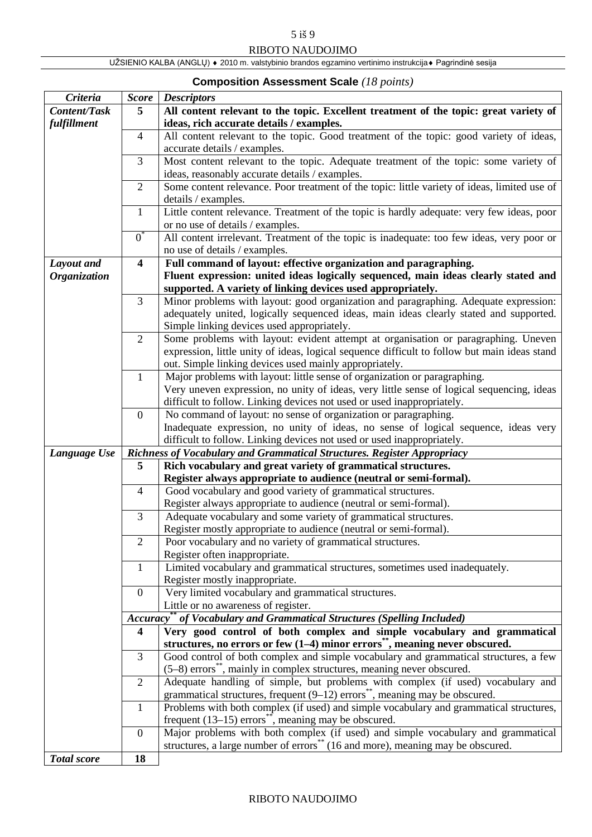UŽSIENIO KALBA (ANGLŲ) ♦ 2010 m. valstybinio brandos egzamino vertinimo instrukcija♦ Pagrindinė sesija

# **Composition Assessment Scale** *(18 points)*

| Criteria            | <b>Score</b>            | <b>Descriptors</b>                                                                                                                                     |
|---------------------|-------------------------|--------------------------------------------------------------------------------------------------------------------------------------------------------|
| <b>Content/Task</b> | 5                       | All content relevant to the topic. Excellent treatment of the topic: great variety of                                                                  |
| fulfillment         |                         | ideas, rich accurate details / examples.                                                                                                               |
|                     | $\overline{4}$          | All content relevant to the topic. Good treatment of the topic: good variety of ideas,                                                                 |
|                     |                         | accurate details / examples.                                                                                                                           |
|                     | 3                       | Most content relevant to the topic. Adequate treatment of the topic: some variety of                                                                   |
|                     |                         | ideas, reasonably accurate details / examples.                                                                                                         |
|                     | $\overline{2}$          | Some content relevance. Poor treatment of the topic: little variety of ideas, limited use of                                                           |
|                     |                         | details / examples.                                                                                                                                    |
|                     | $\mathbf{1}$            | Little content relevance. Treatment of the topic is hardly adequate: very few ideas, poor                                                              |
|                     |                         | or no use of details / examples.                                                                                                                       |
|                     | $0^*$                   | All content irrelevant. Treatment of the topic is inadequate: too few ideas, very poor or                                                              |
|                     |                         | no use of details / examples.                                                                                                                          |
| Layout and          | $\overline{\mathbf{4}}$ | Full command of layout: effective organization and paragraphing.                                                                                       |
| <b>Organization</b> |                         | Fluent expression: united ideas logically sequenced, main ideas clearly stated and                                                                     |
|                     |                         | supported. A variety of linking devices used appropriately.                                                                                            |
|                     | 3                       | Minor problems with layout: good organization and paragraphing. Adequate expression:                                                                   |
|                     |                         | adequately united, logically sequenced ideas, main ideas clearly stated and supported.                                                                 |
|                     |                         | Simple linking devices used appropriately.                                                                                                             |
|                     | $\overline{2}$          | Some problems with layout: evident attempt at organisation or paragraphing. Uneven                                                                     |
|                     |                         | expression, little unity of ideas, logical sequence difficult to follow but main ideas stand                                                           |
|                     |                         | out. Simple linking devices used mainly appropriately.                                                                                                 |
|                     | $\mathbf{1}$            | Major problems with layout: little sense of organization or paragraphing.                                                                              |
|                     |                         | Very uneven expression, no unity of ideas, very little sense of logical sequencing, ideas                                                              |
|                     |                         | difficult to follow. Linking devices not used or used inappropriately.                                                                                 |
|                     | $\mathbf{0}$            | No command of layout: no sense of organization or paragraphing.                                                                                        |
|                     |                         | Inadequate expression, no unity of ideas, no sense of logical sequence, ideas very                                                                     |
|                     |                         | difficult to follow. Linking devices not used or used inappropriately.                                                                                 |
| Language Use        |                         | Richness of Vocabulary and Grammatical Structures. Register Appropriacy                                                                                |
|                     | 5                       | Rich vocabulary and great variety of grammatical structures.                                                                                           |
|                     |                         | Register always appropriate to audience (neutral or semi-formal).                                                                                      |
|                     | $\overline{4}$          | Good vocabulary and good variety of grammatical structures.                                                                                            |
|                     |                         | Register always appropriate to audience (neutral or semi-formal).                                                                                      |
|                     | 3                       | Adequate vocabulary and some variety of grammatical structures.                                                                                        |
|                     |                         | Register mostly appropriate to audience (neutral or semi-formal).                                                                                      |
|                     | $\overline{2}$          | Poor vocabulary and no variety of grammatical structures.                                                                                              |
|                     |                         | Register often inappropriate.                                                                                                                          |
|                     | 1                       | Limited vocabulary and grammatical structures, sometimes used inadequately.                                                                            |
|                     |                         | Register mostly inappropriate.                                                                                                                         |
|                     | $\mathbf{0}$            | Very limited vocabulary and grammatical structures.                                                                                                    |
|                     |                         | Little or no awareness of register.                                                                                                                    |
|                     |                         | Accuracy** of Vocabulary and Grammatical Structures (Spelling Included)                                                                                |
|                     | 4                       | Very good control of both complex and simple vocabulary and grammatical<br>structures, no errors or few $(1-4)$ minor errors", meaning never obscured. |
|                     | 3                       | Good control of both complex and simple vocabulary and grammatical structures, a few                                                                   |
|                     |                         | (5–8) errors <sup>**</sup> , mainly in complex structures, meaning never obscured.                                                                     |
|                     | 2                       | Adequate handling of simple, but problems with complex (if used) vocabulary and                                                                        |
|                     |                         | grammatical structures, frequent $(9-12)$ errors <sup>**</sup> , meaning may be obscured.                                                              |
|                     | $\mathbf{1}$            | Problems with both complex (if used) and simple vocabulary and grammatical structures,                                                                 |
|                     |                         | frequent (13-15) errors **, meaning may be obscured.                                                                                                   |
|                     | $\boldsymbol{0}$        | Major problems with both complex (if used) and simple vocabulary and grammatical                                                                       |
|                     |                         | structures, a large number of errors <sup>**</sup> (16 and more), meaning may be obscured.                                                             |
| <b>Total score</b>  | 18                      |                                                                                                                                                        |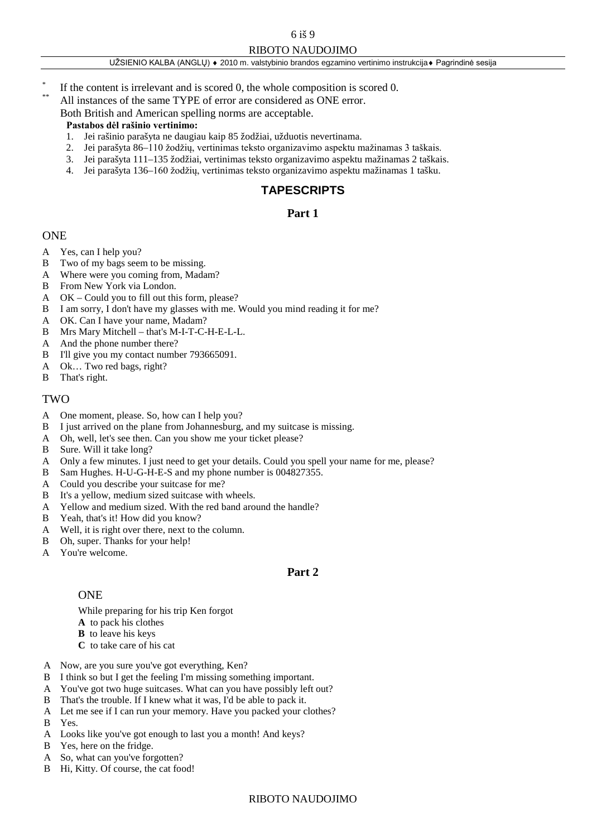#### UŽSIENIO KALBA (ANGLŲ) ♦ 2010 m. valstybinio brandos egzamino vertinimo instrukcija♦ Pagrindinė sesija

- If the content is irrelevant and is scored 0, the whole composition is scored 0. All instances of the same TYPE of error are considered as ONE error.
	-

Both British and American spelling norms are acceptable.

#### **Pastabos dėl rašinio vertinimo:**

- 1. Jei rašinio parašyta ne daugiau kaip 85 žodžiai, užduotis nevertinama.
- 2. Jei parašyta 86–110 žodžių, vertinimas teksto organizavimo aspektu mažinamas 3 taškais.
- 3. Jei parašyta 111–135 žodžiai, vertinimas teksto organizavimo aspektu mažinamas 2 taškais.
- 4. Jei parašyta 136–160 žodžių, vertinimas teksto organizavimo aspektu mažinamas 1 tašku.

# **TAPESCRIPTS**

#### **Part 1**

#### ONE

- A Yes, can I help you?
- B Two of my bags seem to be missing.
- A Where were you coming from, Madam?
- B From New York via London.
- A OK Could you to fill out this form, please?
- B I am sorry, I don't have my glasses with me. Would you mind reading it for me?
- A OK. Can I have your name, Madam?
- B Mrs Mary Mitchell that's M-I-T-C-H-E-L-L.
- A And the phone number there?
- B I'll give you my contact number 793665091.
- A Ok… Two red bags, right?
- B That's right.

#### TWO

- A One moment, please. So, how can I help you?
- B I just arrived on the plane from Johannesburg, and my suitcase is missing.
- A Oh, well, let's see then. Can you show me your ticket please?
- B Sure. Will it take long?
- A Only a few minutes. I just need to get your details. Could you spell your name for me, please?<br>B Sam Hughes, H-U-G-H-E-S and my phone number is 004827355.
- Sam Hughes. H-U-G-H-E-S and my phone number is 004827355.
- A Could you describe your suitcase for me?
- B It's a yellow, medium sized suitcase with wheels.
- A Yellow and medium sized. With the red band around the handle?
- B Yeah, that's it! How did you know?
- A Well, it is right over there, next to the column.
- B Oh, super. Thanks for your help!
- A You're welcome.

#### **Part 2**

#### **ONE**

- While preparing for his trip Ken forgot
- **A** to pack his clothes
- **B** to leave his keys
- **C** to take care of his cat
- A Now, are you sure you've got everything, Ken?
- B I think so but I get the feeling I'm missing something important.
- A You've got two huge suitcases. What can you have possibly left out?
- B That's the trouble. If I knew what it was, I'd be able to pack it.
- A Let me see if I can run your memory. Have you packed your clothes?
- B Yes.
- A Looks like you've got enough to last you a month! And keys?
- B Yes, here on the fridge.
- A So, what can you've forgotten?
- B Hi, Kitty. Of course, the cat food!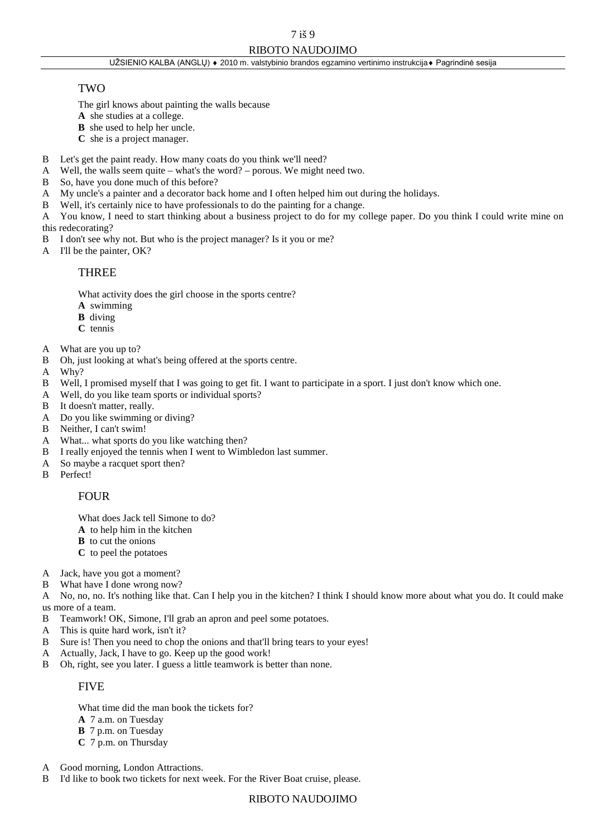#### TWO

The girl knows about painting the walls because

- **A** she studies at a college.
- **B** she used to help her uncle.
- **C** she is a project manager.
- B Let's get the paint ready. How many coats do you think we'll need?
- A Well, the walls seem quite what's the word? porous. We might need two.
- B So, have you done much of this before?
- A My uncle's a painter and a decorator back home and I often helped him out during the holidays.
- B Well, it's certainly nice to have professionals to do the painting for a change.

A You know, I need to start thinking about a business project to do for my college paper. Do you think I could write mine on this redecorating?

- B I don't see why not. But who is the project manager? Is it you or me?
- A I'll be the painter, OK?

#### THREE

What activity does the girl choose in the sports centre?

- **A** swimming
- **B** diving
- **C** tennis
- A What are you up to?
- B Oh, just looking at what's being offered at the sports centre.
- A Why?
- B Well, I promised myself that I was going to get fit. I want to participate in a sport. I just don't know which one.
- A Well, do you like team sports or individual sports?
- B It doesn't matter, really.
- A Do you like swimming or diving?
- B Neither, I can't swim!
- A What... what sports do you like watching then?
- B I really enjoyed the tennis when I went to Wimbledon last summer.
- A So maybe a racquet sport then?
- B Perfect!

#### **FOUR**

- What does Jack tell Simone to do?
- **A** to help him in the kitchen
- **B** to cut the onions
- **C** to peel the potatoes
- A Jack, have you got a moment?
- B What have I done wrong now?

A No, no, no. It's nothing like that. Can I help you in the kitchen? I think I should know more about what you do. It could make us more of a team.

- B Teamwork! OK, Simone, I'll grab an apron and peel some potatoes.
- A This is quite hard work, isn't it?
- B Sure is! Then you need to chop the onions and that'll bring tears to your eyes!
- A Actually, Jack, I have to go. Keep up the good work!
- B Oh, right, see you later. I guess a little teamwork is better than none.

#### FIVE

What time did the man book the tickets for?

- **A** 7 a.m. on Tuesday
- **B** 7 p.m. on Tuesday
- **C** 7 p.m. on Thursday
- A Good morning, London Attractions.
- B I'd like to book two tickets for next week. For the River Boat cruise, please.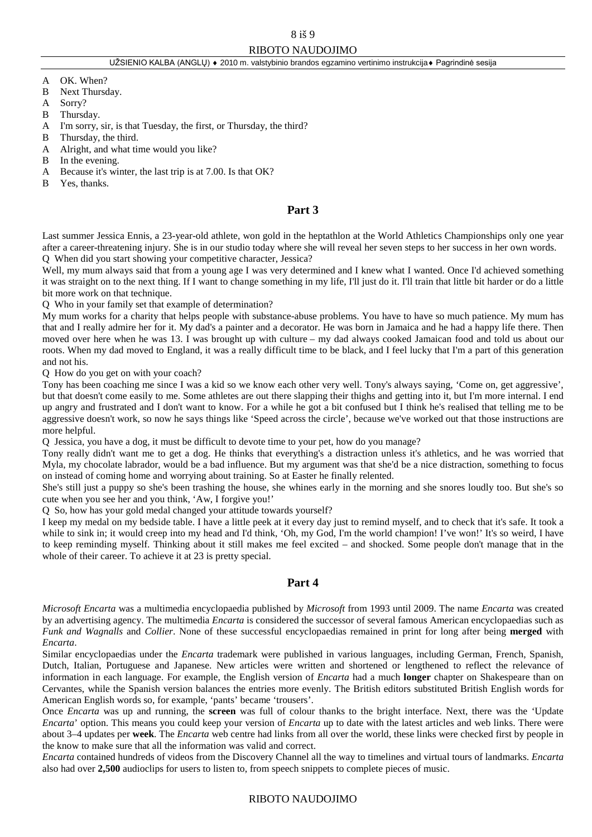- A OK. When?
- B Next Thursday.
- A Sorry?
- B Thursday.
- A I'm sorry, sir, is that Tuesday, the first, or Thursday, the third?
- B Thursday, the third.
- A Alright, and what time would you like?
- B In the evening.
- A Because it's winter, the last trip is at 7.00. Is that OK?
- B Yes, thanks.

#### **Part 3**

Last summer Jessica Ennis, a 23-year-old athlete, won gold in the heptathlon at the World Athletics Championships only one year after a career-threatening injury. She is in our studio today where she will reveal her seven steps to her success in her own words. Q When did you start showing your competitive character, Jessica?

Well, my mum always said that from a young age I was very determined and I knew what I wanted. Once I'd achieved something it was straight on to the next thing. If I want to change something in my life, I'll just do it. I'll train that little bit harder or do a little bit more work on that technique.

Q Who in your family set that example of determination?

My mum works for a charity that helps people with substance-abuse problems. You have to have so much patience. My mum has that and I really admire her for it. My dad's a painter and a decorator. He was born in Jamaica and he had a happy life there. Then moved over here when he was 13. I was brought up with culture – my dad always cooked Jamaican food and told us about our roots. When my dad moved to England, it was a really difficult time to be black, and I feel lucky that I'm a part of this generation and not his.

Q How do you get on with your coach?

Tony has been coaching me since I was a kid so we know each other very well. Tony's always saying, 'Come on, get aggressive', but that doesn't come easily to me. Some athletes are out there slapping their thighs and getting into it, but I'm more internal. I end up angry and frustrated and I don't want to know. For a while he got a bit confused but I think he's realised that telling me to be aggressive doesn't work, so now he says things like 'Speed across the circle', because we've worked out that those instructions are more helpful.

Q Jessica, you have a dog, it must be difficult to devote time to your pet, how do you manage?

Tony really didn't want me to get a dog. He thinks that everything's a distraction unless it's athletics, and he was worried that Myla, my chocolate labrador, would be a bad influence. But my argument was that she'd be a nice distraction, something to focus on instead of coming home and worrying about training. So at Easter he finally relented.

She's still just a puppy so she's been trashing the house, she whines early in the morning and she snores loudly too. But she's so cute when you see her and you think, 'Aw, I forgive you!'

Q So, how has your gold medal changed your attitude towards yourself?

I keep my medal on my bedside table. I have a little peek at it every day just to remind myself, and to check that it's safe. It took a while to sink in; it would creep into my head and I'd think, 'Oh, my God, I'm the world champion! I've won!' It's so weird, I have to keep reminding myself. Thinking about it still makes me feel excited – and shocked. Some people don't manage that in the whole of their career. To achieve it at 23 is pretty special.

#### **Part 4**

*Microsoft Encarta* was a [multimedia](http://en.wikipedia.org/wiki/Multimedia) [encyclopaedia](http://en.wikipedia.org/wiki/Encyclopedia) published by *Microsoft* from 1993 until 2009. The name *Encarta* was created by an advertising agency. The multimedia *Encarta* is considered the successor of several famous American encyclopaedias such as *Funk and Wagnalls* and *Collier*. None of these successful encyclopaedias remained in print for long after being **merged** with *Encarta*.

Similar encyclopaedias under the *Encarta* [trademark](http://en.wikipedia.org/wiki/Trademark) were published in various languages, including [German,](http://en.wikipedia.org/wiki/German_language) [French,](http://en.wikipedia.org/wiki/French_language) [Spanish,](http://en.wikipedia.org/wiki/Spanish_language)  [Dutch,](http://en.wikipedia.org/wiki/Dutch_language) [Italian,](http://en.wikipedia.org/wiki/Italian_language) [Portuguese](http://en.wikipedia.org/wiki/Portuguese_language) and [Japanese.](http://en.wikipedia.org/wiki/Japanese_language) New articles were written and shortened or lengthened to reflect the relevance of information in each language. For example, the English version of *Encarta* had a much **longer** chapter on Shakespeare than on Cervantes, while the Spanish version balances the entries more evenly. The British editors substituted British English words for American English words so, for example, 'pants' became 'trousers'.

Once *Encarta* was up and running, the **screen** was full of colour thanks to the bright interface. Next, there was the 'Update *Encarta*' option. This means you could keep your version of *Encarta* up to date with the latest articles and web links. There were about 3–4 updates per **week**. The *Encarta* web centre had links from all over the world, these links were checked first by people in the know to make sure that all the information was valid and correct.

*Encarta* contained hundreds of videos from the Discovery Channel all the way to timelines and virtual tours of landmarks. *Encarta* also had over **2,500** audioclips for users to listen to, from speech snippets to complete pieces of music.